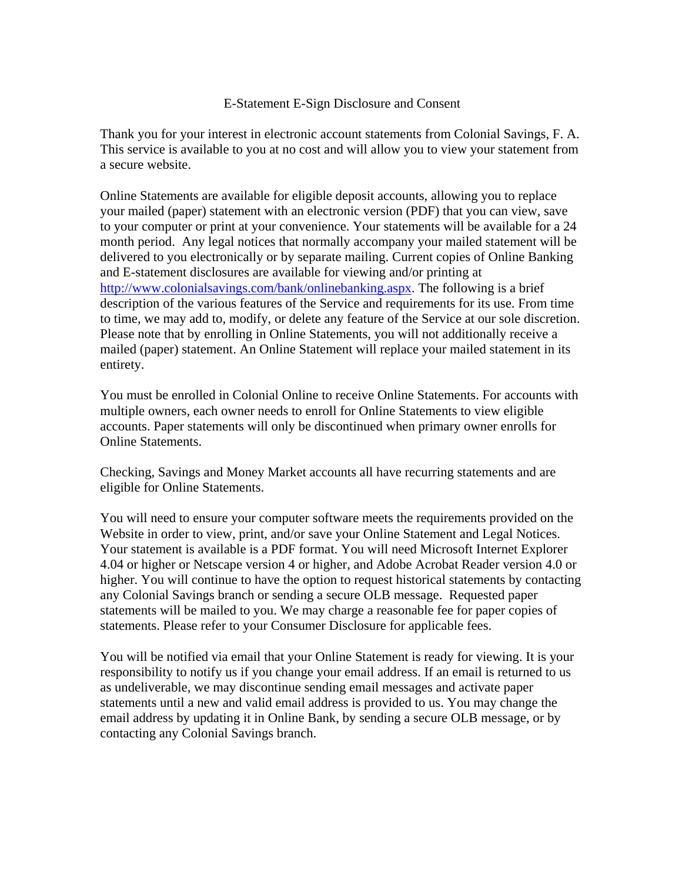## E-Statement E-Sign Disclosure and Consent

Thank you for your interest in electronic account statements from Colonial Savings, F. A. This service is available to you at no cost and will allow you to view your statement from a secure website.

Online Statements are available for eligible deposit accounts, allowing you to replace your mailed (paper) statement with an electronic version (PDF) that you can view, save to your computer or print at your convenience. Your statements will be available for a 24 month period. Any legal notices that normally accompany your mailed statement will be delivered to you electronically or by separate mailing. Current copies of Online Banking and E-statement disclosures are available for viewing and/or printing at http://www.colonialsavings.com/bank/onlinebanking.aspx. The following is a brief description of the various features of the Service and requirements for its use. From time to time, we may add to, modify, or delete any feature of the Service at our sole discretion. Please note that by enrolling in Online Statements, you will not additionally receive a mailed (paper) statement. An Online Statement will replace your mailed statement in its entirety.

You must be enrolled in Colonial Online to receive Online Statements. For accounts with multiple owners, each owner needs to enroll for Online Statements to view eligible accounts. Paper statements will only be discontinued when primary owner enrolls for Online Statements.

Checking, Savings and Money Market accounts all have recurring statements and are eligible for Online Statements.

You will need to ensure your computer software meets the requirements provided on the Website in order to view, print, and/or save your Online Statement and Legal Notices. Your statement is available is a PDF format. You will need Microsoft Internet Explorer 4.04 or higher or Netscape version 4 or higher, and Adobe Acrobat Reader version 4.0 or higher. You will continue to have the option to request historical statements by contacting any Colonial Savings branch or sending a secure OLB message. Requested paper statements will be mailed to you. We may charge a reasonable fee for paper copies of statements. Please refer to your Consumer Disclosure for applicable fees.

You will be notified via email that your Online Statement is ready for viewing. It is your responsibility to notify us if you change your email address. If an email is returned to us as undeliverable, we may discontinue sending email messages and activate paper statements until a new and valid email address is provided to us. You may change the email address by updating it in Online Bank, by sending a secure OLB message, or by contacting any Colonial Savings branch.